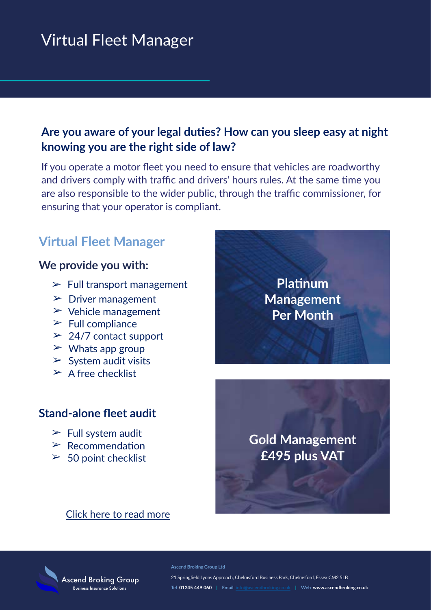# Virtual Fleet Manager

# **Are you aware of your legal duties? How can you sleep easy at night knowing you are the right side of law?**

If you operate a motor fleet you need to ensure that vehicles are roadworthy and drivers comply with traffic and drivers' hours rules. At the same time you are also responsible to the wider public, through the traffic commissioner, for ensuring that your operator is compliant.

# **Virtual Fleet Manager**

### **We provide you with:**

- $\blacktriangleright$  Full transport management
- $\triangleright$  Driver management
- $\triangleright$  Vehicle management
- $\blacktriangleright$  Full compliance
- $\geq 24/7$  contact support
- $\triangleright$  Whats app group
- $\triangleright$  System audit visits
- $\triangleright$  A free checklist

## **Stand-alone fleet audit**

- $\blacktriangleright$  Full system audit
- $\triangleright$  Recommendation
- $\geq$  50 point checklist

Business Insurance Solutions

**Platinum Management Per Month**

**Gold Management £495 plus VAT**

#### [Click here to read more](https://ascendbroking.co.uk/virtual-fleet-manager/)

Ascend Broking Group

**Ascend Broking Group Ltd** 21 Springfield Lyons Approach, Chelmsford Business Park, Chelmsford, Essex CM2 5LB **Tel 01245 449 060 | Email [info@ascendbroking.co.uk](mailto:info@ascendbroking.co.uk) | Web [www.ascendbroking.co.uk](http://www.ascendbroking.co.uk/)**